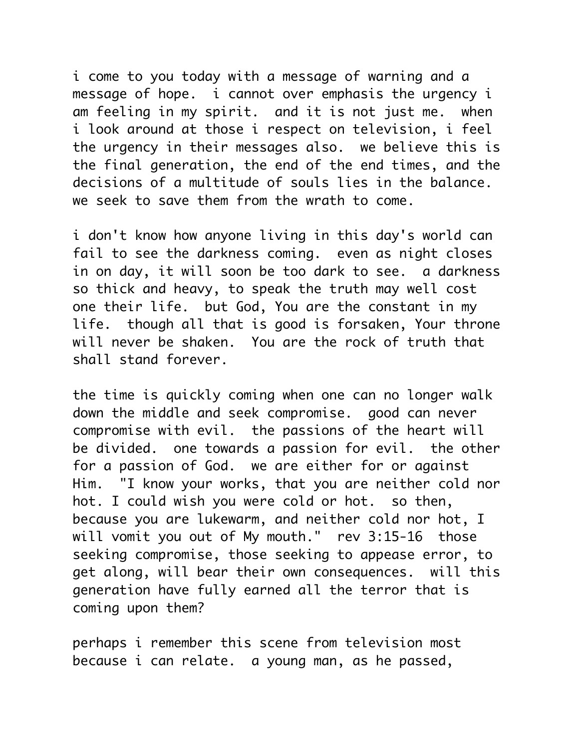i come to you today with a message of warning and a message of hope. i cannot over emphasis the urgency i am feeling in my spirit. and it is not just me. when i look around at those i respect on television, i feel the urgency in their messages also. we believe this is the final generation, the end of the end times, and the decisions of a multitude of souls lies in the balance. we seek to save them from the wrath to come.

i don't know how anyone living in this day's world can fail to see the darkness coming. even as night closes in on day, it will soon be too dark to see. a darkness so thick and heavy, to speak the truth may well cost one their life. but God, You are the constant in my life. though all that is good is forsaken, Your throne will never be shaken. You are the rock of truth that shall stand forever.

the time is quickly coming when one can no longer walk down the middle and seek compromise. good can never compromise with evil. the passions of the heart will be divided. one towards a passion for evil. the other for a passion of God. we are either for or against Him. "I know your works, that you are neither cold nor hot. I could wish you were cold or hot. so then, because you are lukewarm, and neither cold nor hot, I will vomit you out of My mouth." rev 3:15-16 those seeking compromise, those seeking to appease error, to get along, will bear their own consequences. will this generation have fully earned all the terror that is coming upon them?

perhaps i remember this scene from television most because i can relate. a young man, as he passed,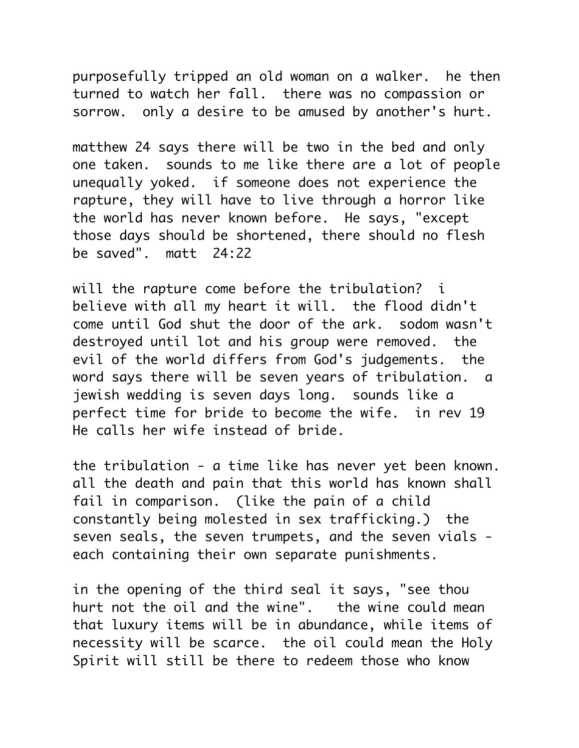purposefully tripped an old woman on a walker. he then turned to watch her fall. there was no compassion or sorrow. only a desire to be amused by another's hurt.

matthew 24 says there will be two in the bed and only one taken. sounds to me like there are a lot of people unequally yoked. if someone does not experience the rapture, they will have to live through a horror like the world has never known before. He says, "except those days should be shortened, there should no flesh be saved". matt 24:22

will the rapture come before the tribulation? i believe with all my heart it will. the flood didn't come until God shut the door of the ark. sodom wasn't destroyed until lot and his group were removed. the evil of the world differs from God's judgements. the word says there will be seven years of tribulation. a jewish wedding is seven days long. sounds like a perfect time for bride to become the wife. in rev 19 He calls her wife instead of bride.

the tribulation - a time like has never yet been known. all the death and pain that this world has known shall fail in comparison. (like the pain of a child constantly being molested in sex trafficking.) the seven seals, the seven trumpets, and the seven vials each containing their own separate punishments.

in the opening of the third seal it says, "see thou hurt not the oil and the wine". the wine could mean that luxury items will be in abundance, while items of necessity will be scarce. the oil could mean the Holy Spirit will still be there to redeem those who know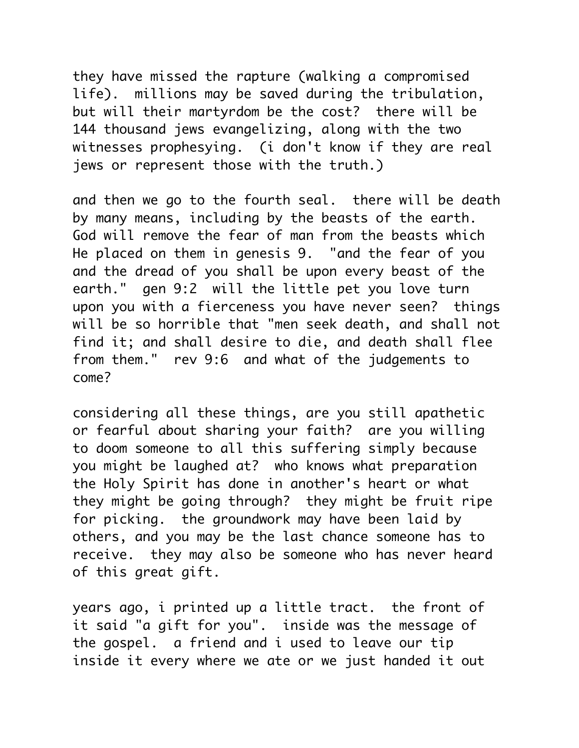they have missed the rapture (walking a compromised life). millions may be saved during the tribulation, but will their martyrdom be the cost? there will be 144 thousand jews evangelizing, along with the two witnesses prophesying. (i don't know if they are real jews or represent those with the truth.)

and then we go to the fourth seal. there will be death by many means, including by the beasts of the earth. God will remove the fear of man from the beasts which He placed on them in genesis 9. "and the fear of you and the dread of you shall be upon every beast of the earth." gen 9:2 will the little pet you love turn upon you with a fierceness you have never seen? things will be so horrible that "men seek death, and shall not find it; and shall desire to die, and death shall flee from them." rev 9:6 and what of the judgements to come?

considering all these things, are you still apathetic or fearful about sharing your faith? are you willing to doom someone to all this suffering simply because you might be laughed at? who knows what preparation the Holy Spirit has done in another's heart or what they might be going through? they might be fruit ripe for picking. the groundwork may have been laid by others, and you may be the last chance someone has to receive. they may also be someone who has never heard of this great gift.

years ago, i printed up a little tract. the front of it said "a gift for you". inside was the message of the gospel. a friend and i used to leave our tip inside it every where we ate or we just handed it out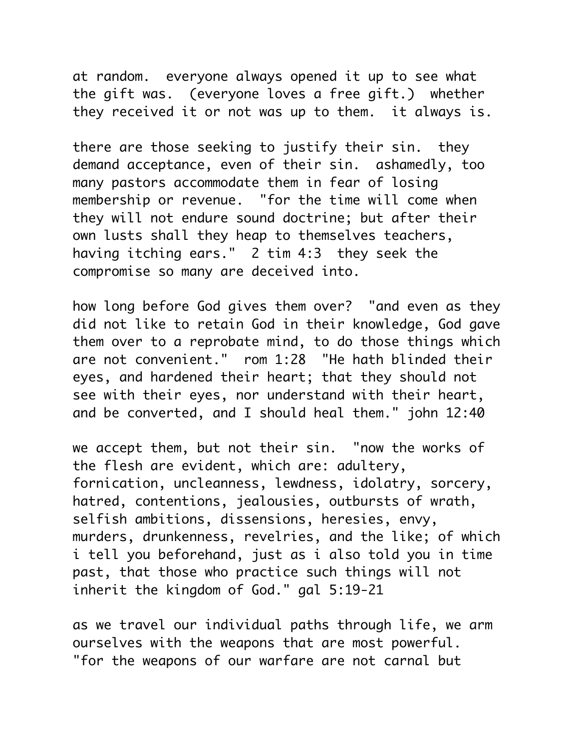at random. everyone always opened it up to see what the gift was. (everyone loves a free gift.) whether they received it or not was up to them. it always is.

there are those seeking to justify their sin. they demand acceptance, even of their sin. ashamedly, too many pastors accommodate them in fear of losing membership or revenue. "for the time will come when they will not endure sound doctrine; but after their own lusts shall they heap to themselves teachers, having itching ears." 2 tim 4:3 they seek the compromise so many are deceived into.

how long before God gives them over? "and even as they did not like to retain God in their knowledge, God gave them over to a reprobate mind, to do those things which are not convenient." rom 1:28 "He hath blinded their eyes, and hardened their heart; that they should not see with their eyes, nor understand with their heart, and be converted, and I should heal them." john 12:40

we accept them, but not their sin. "now the works of the flesh are evident, which are: adultery, fornication, uncleanness, lewdness, idolatry, sorcery, hatred, contentions, jealousies, outbursts of wrath, selfish ambitions, dissensions, heresies, envy, murders, drunkenness, revelries, and the like; of which i tell you beforehand, just as i also told you in time past, that those who practice such things will not inherit the kingdom of God." gal 5:19-21

as we travel our individual paths through life, we arm ourselves with the weapons that are most powerful. "for the weapons of our warfare are not carnal but